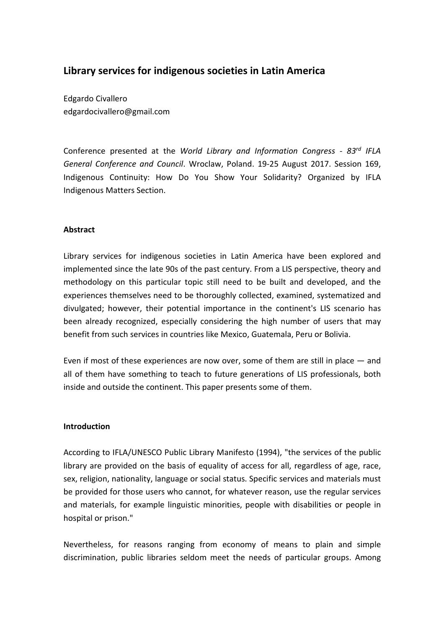# **Library services for indigenous societies in Latin America**

Edgardo Civallero edgardocivallero@gmail.com

Conference presented at the *World Library and Information Congress - 83rd IFLA General Conference and Council*. Wroclaw, Poland. 19-25 August 2017. Session 169, Indigenous Continuity: How Do You Show Your Solidarity? Organized by IFLA Indigenous Matters Section.

## **Abstract**

Library services for indigenous societies in Latin America have been explored and implemented since the late 90s of the past century. From a LIS perspective, theory and methodology on this particular topic still need to be built and developed, and the experiences themselves need to be thoroughly collected, examined, systematized and divulgated; however, their potential importance in the continent's LIS scenario has been already recognized, especially considering the high number of users that may benefit from such services in countries like Mexico, Guatemala, Peru or Bolivia.

Even if most of these experiences are now over, some of them are still in place ― and all of them have something to teach to future generations of LIS professionals, both inside and outside the continent. This paper presents some of them.

#### **Introduction**

According to IFLA/UNESCO Public Library Manifesto (1994), "the services of the public library are provided on the basis of equality of access for all, regardless of age, race, sex, religion, nationality, language or social status. Specific services and materials must be provided for those users who cannot, for whatever reason, use the regular services and materials, for example linguistic minorities, people with disabilities or people in hospital or prison."

Nevertheless, for reasons ranging from economy of means to plain and simple discrimination, public libraries seldom meet the needs of particular groups. Among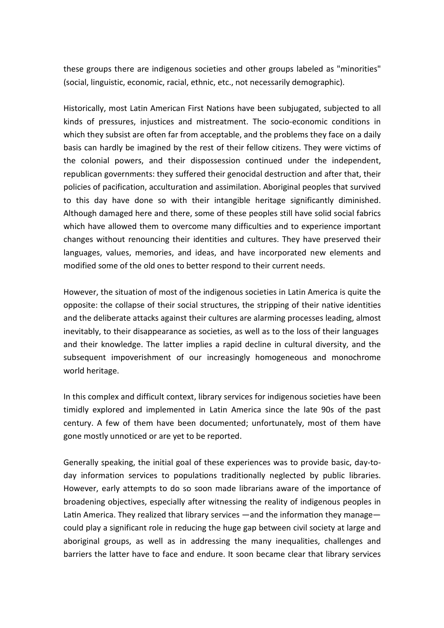these groups there are indigenous societies and other groups labeled as "minorities" (social, linguistic, economic, racial, ethnic, etc., not necessarily demographic).

Historically, most Latin American First Nations have been subjugated, subjected to all kinds of pressures, injustices and mistreatment. The socio-economic conditions in which they subsist are often far from acceptable, and the problems they face on a daily basis can hardly be imagined by the rest of their fellow citizens. They were victims of the colonial powers, and their dispossession continued under the independent, republican governments: they suffered their genocidal destruction and after that, their policies of pacification, acculturation and assimilation. Aboriginal peoples that survived to this day have done so with their intangible heritage significantly diminished. Although damaged here and there, some of these peoples still have solid social fabrics which have allowed them to overcome many difficulties and to experience important changes without renouncing their identities and cultures. They have preserved their languages, values, memories, and ideas, and have incorporated new elements and modified some of the old ones to better respond to their current needs.

However, the situation of most of the indigenous societies in Latin America is quite the opposite: the collapse of their social structures, the stripping of their native identities and the deliberate attacks against their cultures are alarming processes leading, almost inevitably, to their disappearance as societies, as well as to the loss of their languages and their knowledge. The latter implies a rapid decline in cultural diversity, and the subsequent impoverishment of our increasingly homogeneous and monochrome world heritage.

In this complex and difficult context, library services for indigenous societies have been timidly explored and implemented in Latin America since the late 90s of the past century. A few of them have been documented; unfortunately, most of them have gone mostly unnoticed or are yet to be reported.

Generally speaking, the initial goal of these experiences was to provide basic, day-today information services to populations traditionally neglected by public libraries. However, early attempts to do so soon made librarians aware of the importance of broadening objectives, especially after witnessing the reality of indigenous peoples in Latin America. They realized that library services —and the information they manage could play a significant role in reducing the huge gap between civil society at large and aboriginal groups, as well as in addressing the many inequalities, challenges and barriers the latter have to face and endure. It soon became clear that library services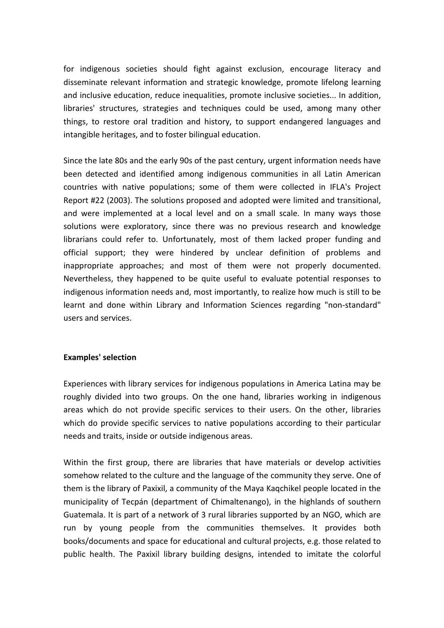for indigenous societies should fight against exclusion, encourage literacy and disseminate relevant information and strategic knowledge, promote lifelong learning and inclusive education, reduce inequalities, promote inclusive societies... In addition, libraries' structures, strategies and techniques could be used, among many other things, to restore oral tradition and history, to support endangered languages and intangible heritages, and to foster bilingual education.

Since the late 80s and the early 90s of the past century, urgent information needs have been detected and identified among indigenous communities in all Latin American countries with native populations; some of them were collected in IFLA's Project Report #22 (2003). The solutions proposed and adopted were limited and transitional, and were implemented at a local level and on a small scale. In many ways those solutions were exploratory, since there was no previous research and knowledge librarians could refer to. Unfortunately, most of them lacked proper funding and official support; they were hindered by unclear definition of problems and inappropriate approaches; and most of them were not properly documented. Nevertheless, they happened to be quite useful to evaluate potential responses to indigenous information needs and, most importantly, to realize how much is still to be learnt and done within Library and Information Sciences regarding "non-standard" users and services.

#### **Examples' selection**

Experiences with library services for indigenous populations in America Latina may be roughly divided into two groups. On the one hand, libraries working in indigenous areas which do not provide specific services to their users. On the other, libraries which do provide specific services to native populations according to their particular needs and traits, inside or outside indigenous areas.

Within the first group, there are libraries that have materials or develop activities somehow related to the culture and the language of the community they serve. One of them is the library of Paxixil, a community of the Maya Kaqchikel people located in the municipality of Tecpán (department of Chimaltenango), in the highlands of southern Guatemala. It is part of a network of 3 rural libraries supported by an NGO, which are run by young people from the communities themselves. It provides both books/documents and space for educational and cultural projects, e.g. those related to public health. The Paxixil library building designs, intended to imitate the colorful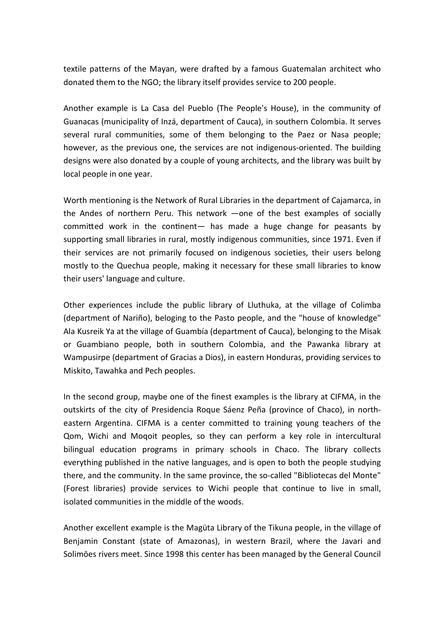textile patterns of the Mayan, were drafted by a famous Guatemalan architect who donated them to the NGO; the library itself provides service to 200 people.

Another example is La Casa del Pueblo (The People's House), in the community of Guanacas (municipality of Inzá, department of Cauca), in southern Colombia. It serves several rural communities, some of them belonging to the Paez or Nasa people; however, as the previous one, the services are not indigenous-oriented. The building designs were also donated by a couple of young architects, and the library was built by local people in one year.

Worth mentioning is the Network of Rural Libraries in the department of Cajamarca, in the Andes of northern Peru. This network ―one of the best examples of socially committed work in the continent- has made a huge change for peasants by supporting small libraries in rural, mostly indigenous communities, since 1971. Even if their services are not primarily focused on indigenous societies, their users belong mostly to the Quechua people, making it necessary for these small libraries to know their users' language and culture.

Other experiences include the public library of Lluthuka, at the village of Colimba (department of Nariño), beloging to the Pasto people, and the "house of knowledge" Ala Kusreik Ya at the village of Guambía (department of Cauca), belonging to the Misak or Guambiano people, both in southern Colombia, and the Pawanka library at Wampusirpe (department of Gracias a Dios), in eastern Honduras, providing services to Miskito, Tawahka and Pech peoples.

In the second group, maybe one of the finest examples is the library at CIFMA, in the outskirts of the city of Presidencia Roque Sáenz Peña (province of Chaco), in northeastern Argentina. CIFMA is a center committed to training young teachers of the Qom, Wichi and Moqoit peoples, so they can perform a key role in intercultural bilingual education programs in primary schools in Chaco. The library collects everything published in the native languages, and is open to both the people studying there, and the community. In the same province, the so-called "Bibliotecas del Monte" (Forest libraries) provide services to Wichi people that continue to live in small, isolated communities in the middle of the woods.

Another excellent example is the Magüta Library of the Tikuna people, in the village of Benjamin Constant (state of Amazonas), in western Brazil, where the Javari and Solimōes rivers meet. Since 1998 this center has been managed by the General Council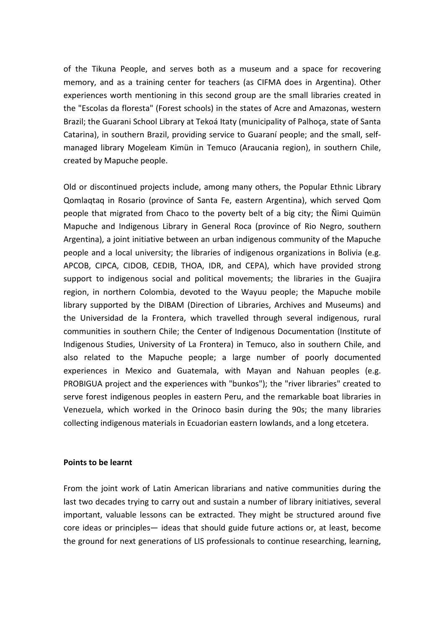of the Tikuna People, and serves both as a museum and a space for recovering memory, and as a training center for teachers (as CIFMA does in Argentina). Other experiences worth mentioning in this second group are the small libraries created in the "Escolas da floresta" (Forest schools) in the states of Acre and Amazonas, western Brazil; the Guarani School Library at Tekoá Itaty (municipality of Palhoça, state of Santa Catarina), in southern Brazil, providing service to Guaraní people; and the small, selfmanaged library Mogeleam Kimün in Temuco (Araucania region), in southern Chile, created by Mapuche people.

Old or discontinued projects include, among many others, the Popular Ethnic Library Qomlaqtaq in Rosario (province of Santa Fe, eastern Argentina), which served Qom people that migrated from Chaco to the poverty belt of a big city; the Ñimi Quimün Mapuche and Indigenous Library in General Roca (province of Rio Negro, southern Argentina), a joint initiative between an urban indigenous community of the Mapuche people and a local university; the libraries of indigenous organizations in Bolivia (e.g. APCOB, CIPCA, CIDOB, CEDIB, THOA, IDR, and CEPA), which have provided strong support to indigenous social and political movements; the libraries in the Guajira region, in northern Colombia, devoted to the Wayuu people; the Mapuche mobile library supported by the DIBAM (Direction of Libraries, Archives and Museums) and the Universidad de la Frontera, which travelled through several indigenous, rural communities in southern Chile; the Center of Indigenous Documentation (Institute of Indigenous Studies, University of La Frontera) in Temuco, also in southern Chile, and also related to the Mapuche people; a large number of poorly documented experiences in Mexico and Guatemala, with Mayan and Nahuan peoples (e.g. PROBIGUA project and the experiences with "bunkos"); the "river libraries" created to serve forest indigenous peoples in eastern Peru, and the remarkable boat libraries in Venezuela, which worked in the Orinoco basin during the 90s; the many libraries collecting indigenous materials in Ecuadorian eastern lowlands, and a long etcetera.

#### **Points to be learnt**

From the joint work of Latin American librarians and native communities during the last two decades trying to carry out and sustain a number of library initiatives, several important, valuable lessons can be extracted. They might be structured around five core ideas or principles— ideas that should guide future actions or, at least, become the ground for next generations of LIS professionals to continue researching, learning,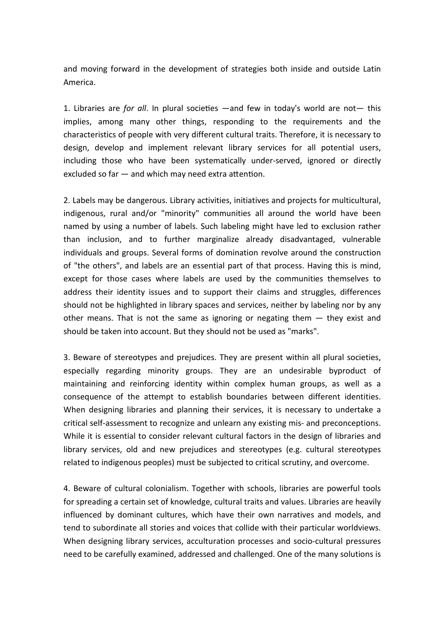and moving forward in the development of strategies both inside and outside Latin America.

1. Libraries are *for all*. In plural societies —and few in today's world are not— this implies, among many other things, responding to the requirements and the characteristics of people with very different cultural traits. Therefore, it is necessary to design, develop and implement relevant library services for all potential users, including those who have been systematically under-served, ignored or directly excluded so far  $-$  and which may need extra attention.

2. Labels may be dangerous. Library activities, initiatives and projects for multicultural, indigenous, rural and/or "minority" communities all around the world have been named by using a number of labels. Such labeling might have led to exclusion rather than inclusion, and to further marginalize already disadvantaged, vulnerable individuals and groups. Several forms of domination revolve around the construction of "the others", and labels are an essential part of that process. Having this is mind, except for those cases where labels are used by the communities themselves to address their identity issues and to support their claims and struggles, differences should not be highlighted in library spaces and services, neither by labeling nor by any other means. That is not the same as ignoring or negating them  $-$  they exist and should be taken into account. But they should not be used as "marks".

3. Beware of stereotypes and prejudices. They are present within all plural societies, especially regarding minority groups. They are an undesirable byproduct of maintaining and reinforcing identity within complex human groups, as well as a consequence of the attempt to establish boundaries between different identities. When designing libraries and planning their services, it is necessary to undertake a critical self-assessment to recognize and unlearn any existing mis- and preconceptions. While it is essential to consider relevant cultural factors in the design of libraries and library services, old and new prejudices and stereotypes (e.g. cultural stereotypes related to indigenous peoples) must be subjected to critical scrutiny, and overcome.

4. Beware of cultural colonialism. Together with schools, libraries are powerful tools for spreading a certain set of knowledge, cultural traits and values. Libraries are heavily influenced by dominant cultures, which have their own narratives and models, and tend to subordinate all stories and voices that collide with their particular worldviews. When designing library services, acculturation processes and socio-cultural pressures need to be carefully examined, addressed and challenged. One of the many solutions is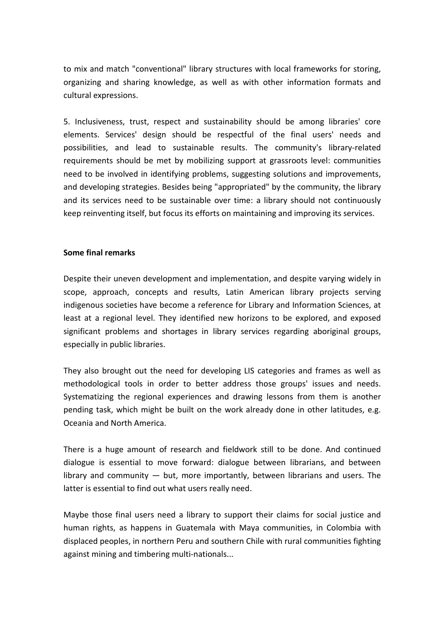to mix and match "conventional" library structures with local frameworks for storing, organizing and sharing knowledge, as well as with other information formats and cultural expressions.

5. Inclusiveness, trust, respect and sustainability should be among libraries' core elements. Services' design should be respectful of the final users' needs and possibilities, and lead to sustainable results. The community's library-related requirements should be met by mobilizing support at grassroots level: communities need to be involved in identifying problems, suggesting solutions and improvements, and developing strategies. Besides being "appropriated" by the community, the library and its services need to be sustainable over time: a library should not continuously keep reinventing itself, but focus its efforts on maintaining and improving its services.

## **Some final remarks**

Despite their uneven development and implementation, and despite varying widely in scope, approach, concepts and results, Latin American library projects serving indigenous societies have become a reference for Library and Information Sciences, at least at a regional level. They identified new horizons to be explored, and exposed significant problems and shortages in library services regarding aboriginal groups, especially in public libraries.

They also brought out the need for developing LIS categories and frames as well as methodological tools in order to better address those groups' issues and needs. Systematizing the regional experiences and drawing lessons from them is another pending task, which might be built on the work already done in other latitudes, e.g. Oceania and North America.

There is a huge amount of research and fieldwork still to be done. And continued dialogue is essential to move forward: dialogue between librarians, and between library and community ― but, more importantly, between librarians and users. The latter is essential to find out what users really need.

Maybe those final users need a library to support their claims for social justice and human rights, as happens in Guatemala with Maya communities, in Colombia with displaced peoples, in northern Peru and southern Chile with rural communities fighting against mining and timbering multi-nationals...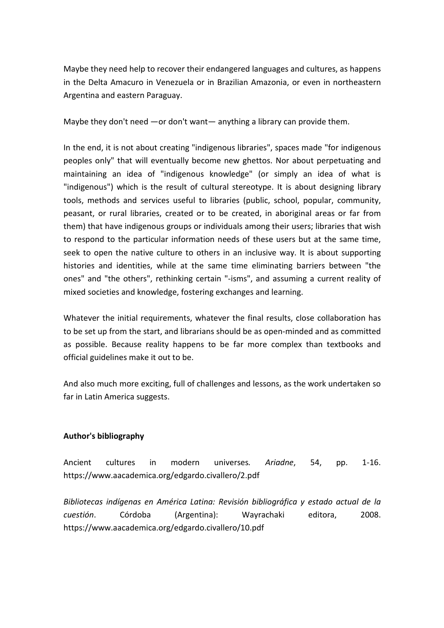Maybe they need help to recover their endangered languages and cultures, as happens in the Delta Amacuro in Venezuela or in Brazilian Amazonia, or even in northeastern Argentina and eastern Paraguay.

Maybe they don't need  $-$  or don't want $-$  anything a library can provide them.

In the end, it is not about creating "indigenous libraries", spaces made "for indigenous peoples only" that will eventually become new ghettos. Nor about perpetuating and maintaining an idea of "indigenous knowledge" (or simply an idea of what is "indigenous") which is the result of cultural stereotype. It is about designing library tools, methods and services useful to libraries (public, school, popular, community, peasant, or rural libraries, created or to be created, in aboriginal areas or far from them) that have indigenous groups or individuals among their users; libraries that wish to respond to the particular information needs of these users but at the same time, seek to open the native culture to others in an inclusive way. It is about supporting histories and identities, while at the same time eliminating barriers between "the ones" and "the others", rethinking certain "-isms", and assuming a current reality of mixed societies and knowledge, fostering exchanges and learning.

Whatever the initial requirements, whatever the final results, close collaboration has to be set up from the start, and librarians should be as open-minded and as committed as possible. Because reality happens to be far more complex than textbooks and official guidelines make it out to be.

And also much more exciting, full of challenges and lessons, as the work undertaken so far in Latin America suggests.

## **Author's bibliography**

Ancient cultures in modern universes*. Ariadne*, 54, pp. 1-16. https://www.aacademica.org/edgardo.civallero/2.pdf

*Bibliotecas indígenas en América Latina: Revisión bibliográfica y estado actual de la cuestión*. Córdoba (Argentina): Wayrachaki editora, 2008. https://www.aacademica.org/edgardo.civallero/10.pdf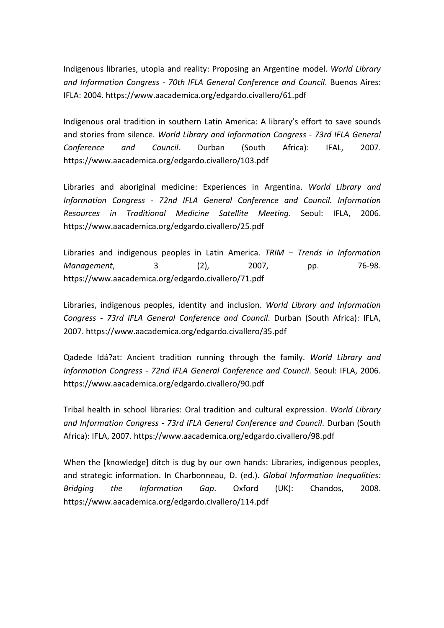Indigenous libraries, utopia and reality: Proposing an Argentine model. *World Library and Information Congress - 70th IFLA General Conference and Council*. Buenos Aires: IFLA: 2004. https://www.aacademica.org/edgardo.civallero/61.pdf

Indigenous oral tradition in southern Latin America: A library's effort to save sounds and stories from silence. *World Library and Information Congress - 73rd IFLA General Conference and Council*. Durban (South Africa): IFAL, 2007. https://www.aacademica.org/edgardo.civallero/103.pdf

Libraries and aboriginal medicine: Experiences in Argentina. *World Library and Information Congress - 72nd IFLA General Conference and Council. Information Resources in Traditional Medicine Satellite Meeting*. Seoul: IFLA, 2006. https://www.aacademica.org/edgardo.civallero/25.pdf

Libraries and indigenous peoples in Latin America. *TRIM – Trends in Information Management*, 3 (2), 2007, pp. 76-98. https://www.aacademica.org/edgardo.civallero/71.pdf

Libraries, indigenous peoples, identity and inclusion. *World Library and Information Congress - 73rd IFLA General Conference and Council*. Durban (South Africa): IFLA, 2007. https://www.aacademica.org/edgardo.civallero/35.pdf

Qadede Idá?at: Ancient tradition running through the family. *World Library and Information Congress - 72nd IFLA General Conference and Council*. Seoul: IFLA, 2006. https://www.aacademica.org/edgardo.civallero/90.pdf

Tribal health in school libraries: Oral tradition and cultural expression. *World Library and Information Congress - 73rd IFLA General Conference and Council*. Durban (South Africa): IFLA, 2007. https://www.aacademica.org/edgardo.civallero/98.pdf

When the [knowledge] ditch is dug by our own hands: Libraries, indigenous peoples, and strategic information. In Charbonneau, D. (ed.). *Global Information Inequalities: Bridging the Information Gap*. Oxford (UK): Chandos, 2008. https://www.aacademica.org/edgardo.civallero/114.pdf